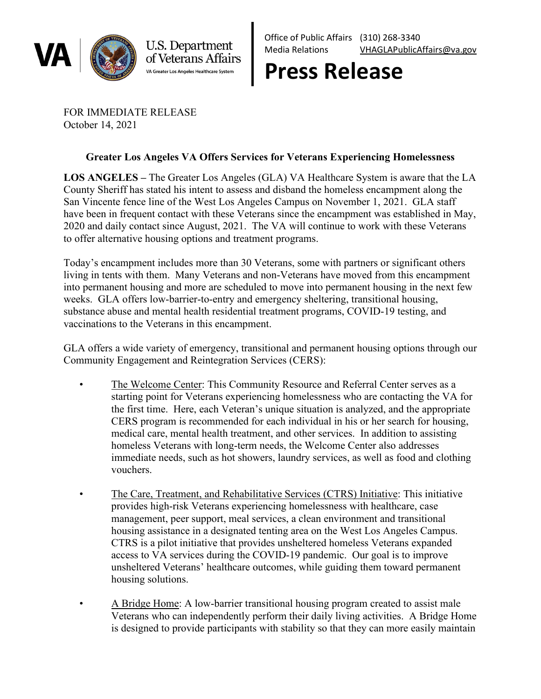

U.S. Department of Veterans Affairs VA Greater Los Angeles Healthcare System

Office of Public Affairs (310) 268-3340 Media Relations [VHAGLAPublicAffairs@va.gov](mailto:VHAGLAPublicAffairs@va.gov)

## **Press Release**

FOR IMMEDIATE RELEASE October 14, 2021

## **Greater Los Angeles VA Offers Services for Veterans Experiencing Homelessness**

**LOS ANGELES –** The Greater Los Angeles (GLA) VA Healthcare System is aware that the LA County Sheriff has stated his intent to assess and disband the homeless encampment along the San Vincente fence line of the West Los Angeles Campus on November 1, 2021. GLA staff have been in frequent contact with these Veterans since the encampment was established in May, 2020 and daily contact since August, 2021. The VA will continue to work with these Veterans to offer alternative housing options and treatment programs.

Today's encampment includes more than 30 Veterans, some with partners or significant others living in tents with them. Many Veterans and non-Veterans have moved from this encampment into permanent housing and more are scheduled to move into permanent housing in the next few weeks. GLA offers low-barrier-to-entry and emergency sheltering, transitional housing, substance abuse and mental health residential treatment programs, COVID-19 testing, and vaccinations to the Veterans in this encampment.

GLA offers a wide variety of emergency, transitional and permanent housing options through our Community Engagement and Reintegration Services (CERS):

- The Welcome Center: This Community Resource and Referral Center serves as a starting point for Veterans experiencing homelessness who are contacting the VA for the first time. Here, each Veteran's unique situation is analyzed, and the appropriate CERS program is recommended for each individual in his or her search for housing, medical care, mental health treatment, and other services. In addition to assisting homeless Veterans with long-term needs, the Welcome Center also addresses immediate needs, such as hot showers, laundry services, as well as food and clothing vouchers.
- The Care, Treatment, and Rehabilitative Services (CTRS) Initiative: This initiative provides high-risk Veterans experiencing homelessness with healthcare, case management, peer support, meal services, a clean environment and transitional housing assistance in a designated tenting area on the West Los Angeles Campus. CTRS is a pilot initiative that provides unsheltered homeless Veterans expanded access to VA services during the COVID-19 pandemic. Our goal is to improve unsheltered Veterans' healthcare outcomes, while guiding them toward permanent housing solutions.
- A Bridge Home: A low-barrier transitional housing program created to assist male Veterans who can independently perform their daily living activities. A Bridge Home is designed to provide participants with stability so that they can more easily maintain